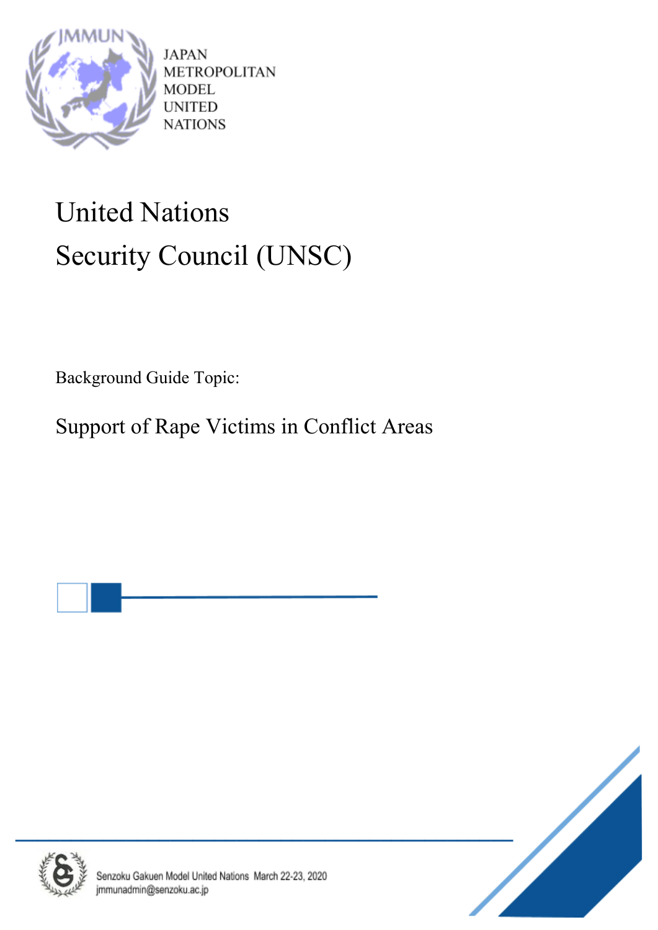

**JAPAN METROPOLITAN** MODEL **UNITED NATIONS** 

# United Nations Security Council (UNSC)

Background Guide Topic:

Support of Rape Victims in Conflict Areas





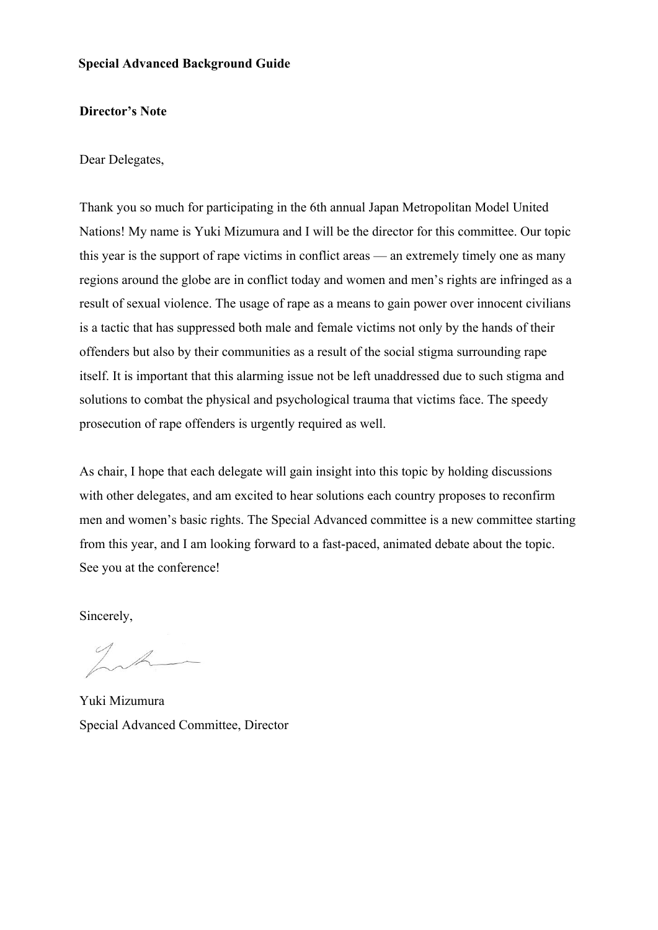## **Special Advanced Background Guide**

### **Director's Note**

Dear Delegates,

Thank you so much for participating in the 6th annual Japan Metropolitan Model United Nations! My name is Yuki Mizumura and I will be the director for this committee. Our topic this year is the support of rape victims in conflict areas — an extremely timely one as many regions around the globe are in conflict today and women and men's rights are infringed as a result of sexual violence. The usage of rape as a means to gain power over innocent civilians is a tactic that has suppressed both male and female victims not only by the hands of their offenders but also by their communities as a result of the social stigma surrounding rape itself. It is important that this alarming issue not be left unaddressed due to such stigma and solutions to combat the physical and psychological trauma that victims face. The speedy prosecution of rape offenders is urgently required as well.

As chair, I hope that each delegate will gain insight into this topic by holding discussions with other delegates, and am excited to hear solutions each country proposes to reconfirm men and women's basic rights. The Special Advanced committee is a new committee starting from this year, and I am looking forward to a fast-paced, animated debate about the topic. See you at the conference!

Sincerely,

Yuki Mizumura Special Advanced Committee, Director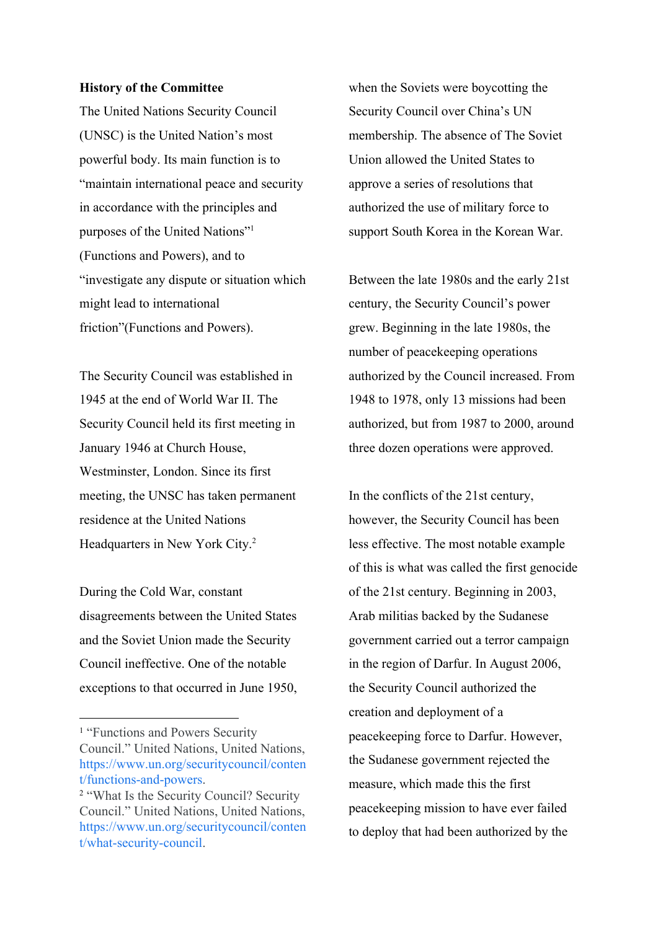#### **History of the Committee**

The United Nations Security Council (UNSC) is the United Nation's most powerful body. Its main function is to "maintain international peace and security in accordance with the principles and purposes of the United Nations"<sup>1</sup> (Functions and Powers), and to "investigate any dispute or situation which might lead to international friction"(Functions and Powers).

The Security Council was established in 1945 at the end of World War II. The Security Council held its first meeting in January 1946 at Church House, Westminster, London. Since its first meeting, the UNSC has taken permanent residence at the United Nations Headquarters in New York City.<sup>2</sup>

During the Cold War, constant disagreements between the United States and the Soviet Union made the Security Council ineffective. One of the notable exceptions to that occurred in June 1950, when the Soviets were boycotting the Security Council over China's UN membership. The absence of The Soviet Union allowed the United States to approve a series of resolutions that authorized the use of military force to support South Korea in the Korean War.

Between the late 1980s and the early 21st century, the Security Council's power grew. Beginning in the late 1980s, the number of peacekeeping operations authorized by the Council increased. From 1948 to 1978, only 13 missions had been authorized, but from 1987 to 2000, around three dozen operations were approved.

In the conflicts of the 21st century, however, the Security Council has been less effective. The most notable example of this is what was called the first genocide of the 21st century. Beginning in 2003, Arab militias backed by the Sudanese government carried out a terror campaign in the region of Darfur. In August 2006, the Security Council authorized the creation and deployment of a peacekeeping force to Darfur. However, the Sudanese government rejected the measure, which made this the first peacekeeping mission to have ever failed to deploy that had been authorized by the

<sup>&</sup>lt;sup>1</sup> "Functions and Powers Security" Council." United Nations, United Nations, [https://www.un.org/securitycouncil/conten](https://www.un.org/securitycouncil/content/functions-and-powers) [t/functions-and-powers](https://www.un.org/securitycouncil/content/functions-and-powers).

<sup>2</sup> "What Is the Security Council? Security Council." United Nations, United Nations, [https://www.un.org/securitycouncil/conten](https://www.un.org/securitycouncil/content/what-security-council) [t/what-security-council](https://www.un.org/securitycouncil/content/what-security-council).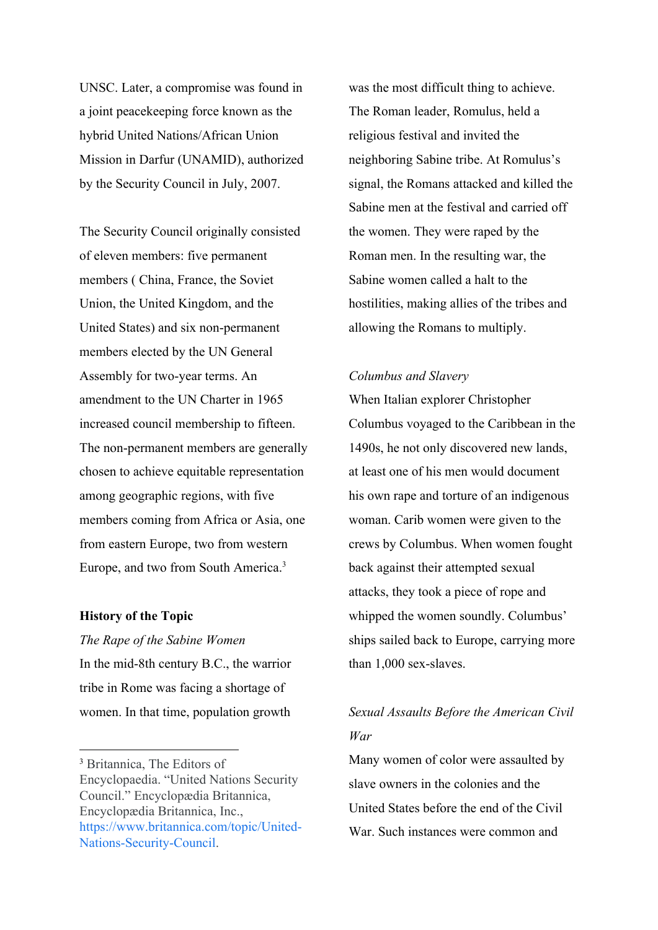UNSC. Later, a compromise was found in a joint peacekeeping force known as the hybrid United Nations/African Union Mission in Darfur (UNAMID), authorized by the Security Council in July, 2007.

The Security Council originally consisted of eleven members: five permanent members ( China, France, the Soviet Union, the United Kingdom, and the United States) and six non-permanent members elected by the UN General Assembly for two-year terms. An amendment to the UN Charter in 1965 increased council membership to fifteen. The non-permanent members are generally chosen to achieve equitable representation among geographic regions, with five members coming from Africa or Asia, one from eastern Europe, two from western Europe, and two from South America.<sup>3</sup>

#### **History of the Topic**

*The Rape of the Sabine Women* In the mid-8th century B.C., the warrior tribe in Rome was facing a shortage of women. In that time, population growth was the most difficult thing to achieve. The Roman leader, Romulus, held a religious festival and invited the neighboring Sabine tribe. At Romulus's signal, the Romans attacked and killed the Sabine men at the festival and carried off the women. They were raped by the Roman men. In the resulting war, the Sabine women called a halt to the hostilities, making allies of the tribes and allowing the Romans to multiply.

## *Columbus and Slavery*

When Italian explorer Christopher Columbus voyaged to the Caribbean in the 1490s, he not only discovered new lands, at least one of his men would document his own rape and torture of an indigenous woman. Carib women were given to the crews by Columbus. When women fought back against their attempted sexual attacks, they took a piece of rope and whipped the women soundly. Columbus' ships sailed back to Europe, carrying more than 1,000 sex-slaves.

# *Sexual Assaults Before the American Civil War*

Many women of color were assaulted by slave owners in the colonies and the United States before the end of the Civil War. Such instances were common and

<sup>3</sup> Britannica, The Editors of Encyclopaedia. "United Nations Security Council." Encyclopædia Britannica, Encyclopædia Britannica, Inc., [https://www.britannica.com/topic/United-](https://www.britannica.com/topic/United-Nations-Security-Council)[Nations-Security-Council](https://www.britannica.com/topic/United-Nations-Security-Council).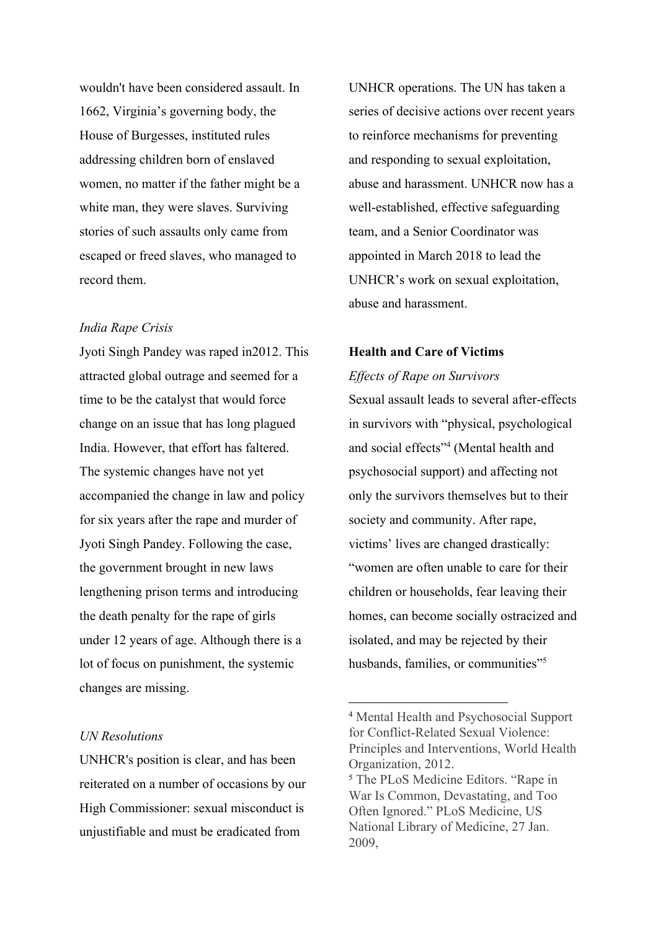wouldn't have been considered assault. In 1662, Virginia's governing body, the House of Burgesses, instituted rules addressing children born of enslaved women, no matter if the father might be a white man, they were slaves. Surviving stories of such assaults only came from escaped or freed slaves, who managed to record them.

## *India Rape Crisis*

Jyoti Singh Pandey was raped in2012. This attracted global outrage and seemed for a time to be the catalyst that would force change on an issue that has long plagued India. However, that effort has faltered. The systemic changes have not yet accompanied the change in law and policy for six years after the rape and murder of Jyoti Singh Pandey. Following the case, the government brought in new laws lengthening prison terms and introducing the death penalty for the rape of girls under 12 years of age. Although there is a lot of focus on punishment, the systemic changes are missing.

## *UN Resolutions*

UNHCR's position is clear, and has been reiterated on a number of occasions by our High Commissioner: sexual misconduct is unjustifiable and must be eradicated from

UNHCR operations. The UN has taken a series of decisive actions over recent years to reinforce mechanisms for preventing and responding to sexual exploitation, abuse and harassment. UNHCR now has a well-established, effective safeguarding team, and a Senior Coordinator was appointed in March 2018 to lead the UNHCR's work on sexual exploitation, abuse and harassment.

## **Health and Care of Victims**

*Effects of Rape on Survivors* Sexual assault leads to several after-effects in survivors with "physical, psychological and social effects"<sup>4</sup> (Mental health and psychosocial support) and affecting not only the survivors themselves but to their society and community. After rape, victims' lives are changed drastically: "women are often unable to care for their children or households, fear leaving their homes, can become socially ostracized and isolated, and may be rejected by their husbands, families, or communities"<sup>5</sup>

<sup>4</sup> Mental Health and Psychosocial Support for Conflict-Related Sexual Violence: Principles and Interventions, World Health Organization, 2012.

<sup>5</sup> The PLoS Medicine Editors. "Rape in War Is Common, Devastating, and Too Often Ignored." PLoS Medicine, US National Library of Medicine, 27 Jan. 2009,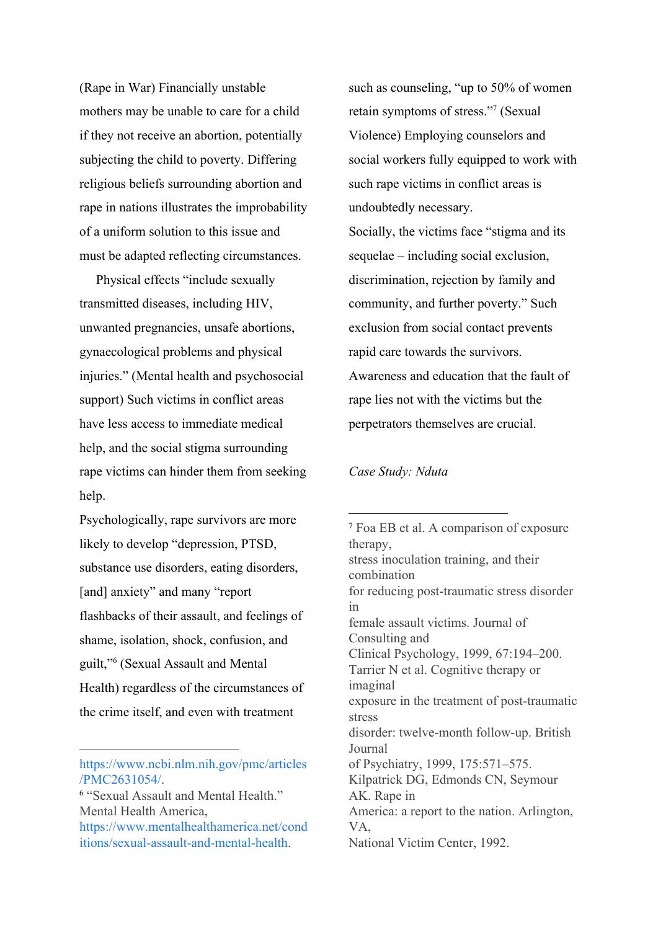(Rape in War) Financially unstable mothers may be unable to care for a child if they not receive an abortion, potentially subjecting the child to poverty. Differing religious beliefs surrounding abortion and rape in nations illustrates the improbability of a uniform solution to this issue and must be adapted reflecting circumstances.

 Physical effects "include sexually transmitted diseases, including HIV, unwanted pregnancies, unsafe abortions, gynaecological problems and physical injuries." (Mental health and psychosocial support) Such victims in conflict areas have less access to immediate medical help, and the social stigma surrounding rape victims can hinder them from seeking help.

Psychologically, rape survivors are more likely to develop "depression, PTSD, substance use disorders, eating disorders, [and] anxiety" and many "report flashbacks of their assault, and feelings of shame, isolation, shock, confusion, and guilt,"<sup>6</sup> (Sexual Assault and Mental Health) regardless of the circumstances of the crime itself, and even with treatment

[https://www.ncbi.nlm.nih.gov/pmc/articles](https://www.ncbi.nlm.nih.gov/pmc/articles/PMC2631054/) [/PMC2631054/](https://www.ncbi.nlm.nih.gov/pmc/articles/PMC2631054/).

such as counseling, "up to 50% of women retain symptoms of stress."<sup>7</sup> (Sexual Violence) Employing counselors and social workers fully equipped to work with such rape victims in conflict areas is undoubtedly necessary. Socially, the victims face "stigma and its sequelae – including social exclusion, discrimination, rejection by family and community, and further poverty." Such exclusion from social contact prevents rapid care towards the survivors. Awareness and education that the fault of rape lies not with the victims but the perpetrators themselves are crucial.

## *Case Study: Nduta*

<sup>7</sup> Foa EB et al. A comparison of exposure therapy, stress inoculation training, and their combination for reducing post-traumatic stress disorder in female assault victims. Journal of Consulting and Clinical Psychology, 1999, 67:194–200. Tarrier N et al. Cognitive therapy or imaginal exposure in the treatment of post-traumatic stress disorder: twelve-month follow-up. British Journal of Psychiatry, 1999, 175:571–575. Kilpatrick DG, Edmonds CN, Seymour AK. Rape in America: a report to the nation. Arlington, VA, National Victim Center, 1992.

<sup>6</sup> "Sexual Assault and Mental Health." Mental Health America, [https://www.mentalhealthamerica.net/cond](https://www.mentalhealthamerica.net/conditions/sexual-assault-and-mental-health) [itions/sexual-assault-and-mental-health](https://www.mentalhealthamerica.net/conditions/sexual-assault-and-mental-health).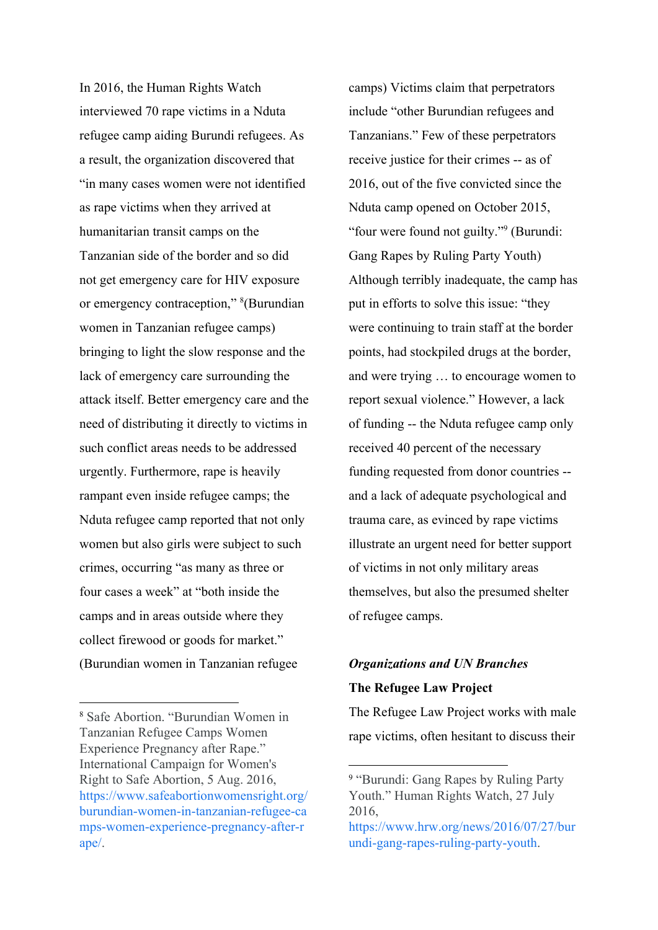In 2016, the Human Rights Watch interviewed 70 rape victims in a Nduta refugee camp aiding Burundi refugees. As a result, the organization discovered that "in many cases women were not identified as rape victims when they arrived at humanitarian transit camps on the Tanzanian side of the border and so did not get emergency care for HIV exposure or emergency contraception," <sup>8</sup>(Burundian women in Tanzanian refugee camps) bringing to light the slow response and the lack of emergency care surrounding the attack itself. Better emergency care and the need of distributing it directly to victims in such conflict areas needs to be addressed urgently. Furthermore, rape is heavily rampant even inside refugee camps; the Nduta refugee camp reported that not only women but also girls were subject to such crimes, occurring "as many as three or four cases a week" at "both inside the camps and in areas outside where they collect firewood or goods for market." (Burundian women in Tanzanian refugee

camps) Victims claim that perpetrators include "other Burundian refugees and Tanzanians." Few of these perpetrators receive justice for their crimes -- as of 2016, out of the five convicted since the Nduta camp opened on October 2015, "four were found not guilty." $9$  (Burundi: Gang Rapes by Ruling Party Youth) Although terribly inadequate, the camp has put in efforts to solve this issue: "they were continuing to train staff at the border points, had stockpiled drugs at the border, and were trying … to encourage women to report sexual violence." However, a lack of funding -- the Nduta refugee camp only received 40 percent of the necessary funding requested from donor countries - and a lack of adequate psychological and trauma care, as evinced by rape victims illustrate an urgent need for better support of victims in not only military areas themselves, but also the presumed shelter of refugee camps.

# *Organizations and UN Branches* **The Refugee Law Project**

The Refugee Law Project works with male rape victims, often hesitant to discuss their

<sup>8</sup> Safe Abortion. "Burundian Women in Tanzanian Refugee Camps Women Experience Pregnancy after Rape." International Campaign for Women's Right to Safe Abortion, 5 Aug. 2016, [https://www.safeabortionwomensright.org/](https://www.safeabortionwomensright.org/burundian-women-in-tanzanian-refugee-camps-women-experience-pregnancy-after-rape/) [burundian-women-in-tanzanian-refugee-ca](https://www.safeabortionwomensright.org/burundian-women-in-tanzanian-refugee-camps-women-experience-pregnancy-after-rape/) [mps-women-experience-pregnancy-after-r](https://www.safeabortionwomensright.org/burundian-women-in-tanzanian-refugee-camps-women-experience-pregnancy-after-rape/) [ape/](https://www.safeabortionwomensright.org/burundian-women-in-tanzanian-refugee-camps-women-experience-pregnancy-after-rape/).

<sup>9</sup> "Burundi: Gang Rapes by Ruling Party Youth." Human Rights Watch, 27 July 2016,

[https://www.hrw.org/news/2016/07/27/bur](https://www.hrw.org/news/2016/07/27/burundi-gang-rapes-ruling-party-youth) [undi-gang-rapes-ruling-party-youth](https://www.hrw.org/news/2016/07/27/burundi-gang-rapes-ruling-party-youth).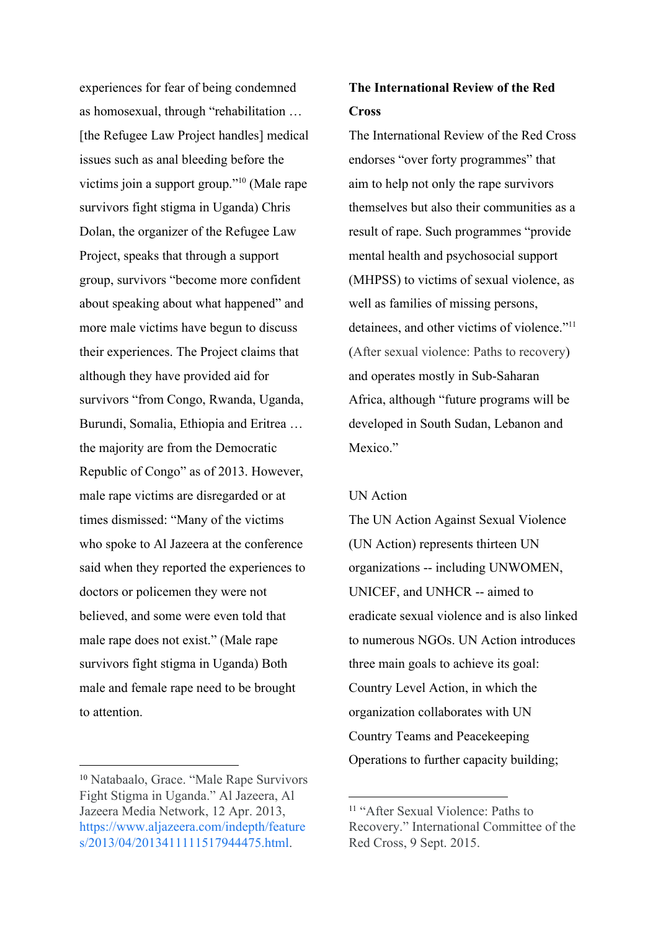experiences for fear of being condemned as homosexual, through "rehabilitation … [the Refugee Law Project handles] medical issues such as anal bleeding before the victims join a support group." $10$  (Male rape survivors fight stigma in Uganda) Chris Dolan, the organizer of the Refugee Law Project, speaks that through a support group, survivors "become more confident about speaking about what happened" and more male victims have begun to discuss their experiences. The Project claims that although they have provided aid for survivors "from Congo, Rwanda, Uganda, Burundi, Somalia, Ethiopia and Eritrea … the majority are from the Democratic Republic of Congo" as of 2013. However, male rape victims are disregarded or at times dismissed: "Many of the victims who spoke to Al Jazeera at the conference said when they reported the experiences to doctors or policemen they were not believed, and some were even told that male rape does not exist." (Male rape survivors fight stigma in Uganda) Both male and female rape need to be brought to attention.

## **The International Review of the Red Cross**

The International Review of the Red Cross endorses "over forty programmes" that aim to help not only the rape survivors themselves but also their communities as a result of rape. Such programmes "provide mental health and psychosocial support (MHPSS) to victims of sexual violence, as well as families of missing persons, detainees, and other victims of violence."<sup>11</sup> (After sexual violence: Paths to recovery) and operates mostly in Sub-Saharan Africa, although "future programs will be developed in South Sudan, Lebanon and Mexico."

## UN Action

The UN Action Against Sexual Violence (UN Action) represents thirteen UN organizations -- including UNWOMEN, UNICEF, and UNHCR -- aimed to eradicate sexual violence and is also linked to numerous NGOs. UN Action introduces three main goals to achieve its goal: Country Level Action, in which the organization collaborates with UN Country Teams and Peacekeeping Operations to further capacity building;

<sup>10</sup> Natabaalo, Grace. "Male Rape Survivors Fight Stigma in Uganda." Al Jazeera, Al Jazeera Media Network, 12 Apr. 2013, [https://www.aljazeera.com/indepth/feature](https://www.aljazeera.com/indepth/features/2013/04/2013411111517944475.html) [s/2013/04/2013411111517944475.html.](https://www.aljazeera.com/indepth/features/2013/04/2013411111517944475.html)

<sup>11</sup> "After Sexual Violence: Paths to Recovery." International Committee of the Red Cross, 9 Sept. 2015.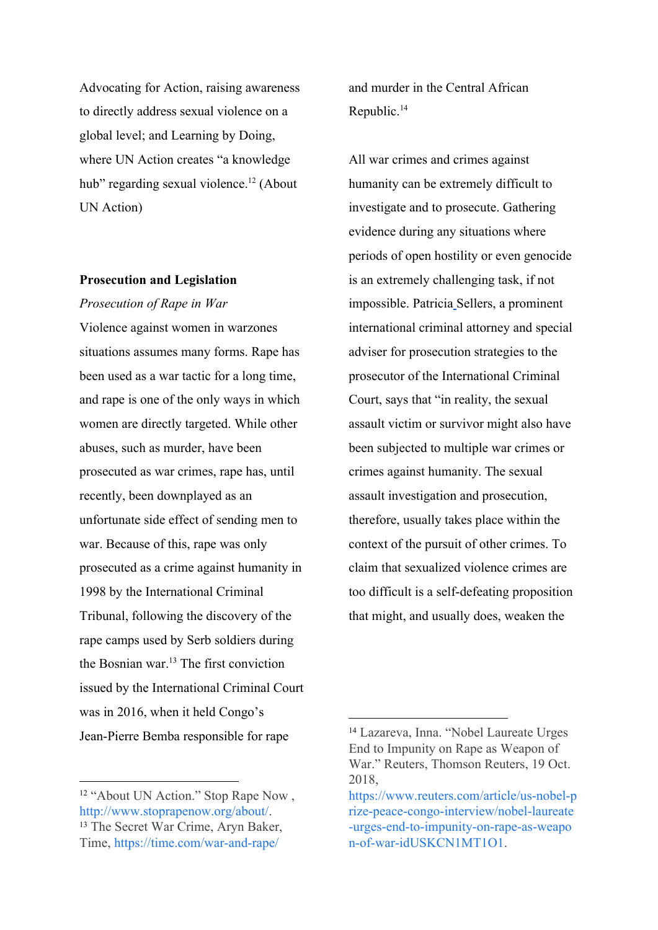Advocating for Action, raising awareness to directly address sexual violence on a global level; and Learning by Doing, where UN Action creates "a knowledge hub" regarding sexual violence. $^{12}$  (About UN Action)

## **Prosecution and Legislation**

*Prosecution of Rape in War*

Violence against women in warzones situations assumes many forms. Rape has been used as a war tactic for a long time, and rape is one of the only ways in which women are directly targeted. While other abuses, such as murder, have been prosecuted as war crimes, rape has, until recently, been downplayed as an unfortunate side effect of sending men to war. Because of this, rape was only prosecuted as a crime against humanity in 1998 by the International Criminal Tribunal, following the discovery of the rape camps used by Serb soldiers during the Bosnian war. $^{13}$  The first conviction issued by the International Criminal Court was in 2016, when it held Congo's Jean-Pierre Bemba responsible for rape

and murder in the Central African Republic.<sup>14</sup>

All war crimes and crimes against humanity can be extremely difficult to investigate and to prosecute. Gathering evidence during any situations where periods of open hostility or even genocide is an extremely challenging task, if not impossible. Patricia [S](https://www.opensocietyfoundations.org/people/patricia-sellers)ellers, a prominent international criminal attorney and special adviser for prosecution strategies to the prosecutor of the International Criminal Court, says that "in reality, the sexual assault victim or survivor might also have been subjected to multiple war crimes or crimes against humanity. The sexual assault investigation and prosecution, therefore, usually takes place within the context of the pursuit of other crimes. To claim that sexualized violence crimes are too difficult is a self-defeating proposition that might, and usually does, weaken the

<sup>&</sup>lt;sup>12</sup> "About UN Action." Stop Rape Now, <http://www.stoprapenow.org/about/>. <sup>13</sup> The Secret War Crime, Aryn Baker, Time, <https://time.com/war-and-rape/>

<sup>14</sup> Lazareva, Inna. "Nobel Laureate Urges End to Impunity on Rape as Weapon of War." Reuters, Thomson Reuters, 19 Oct. 2018,

[https://www.reuters.com/article/us-nobel-p](https://www.reuters.com/article/us-nobel-prize-peace-congo-interview/nobel-laureate-urges-end-to-impunity-on-rape-as-weapon-of-war-idUSKCN1MT1O1) [rize-peace-congo-interview/nobel-laureate](https://www.reuters.com/article/us-nobel-prize-peace-congo-interview/nobel-laureate-urges-end-to-impunity-on-rape-as-weapon-of-war-idUSKCN1MT1O1) [-urges-end-to-impunity-on-rape-as-weapo](https://www.reuters.com/article/us-nobel-prize-peace-congo-interview/nobel-laureate-urges-end-to-impunity-on-rape-as-weapon-of-war-idUSKCN1MT1O1) [n-of-war-idUSKCN1MT1O1.](https://www.reuters.com/article/us-nobel-prize-peace-congo-interview/nobel-laureate-urges-end-to-impunity-on-rape-as-weapon-of-war-idUSKCN1MT1O1)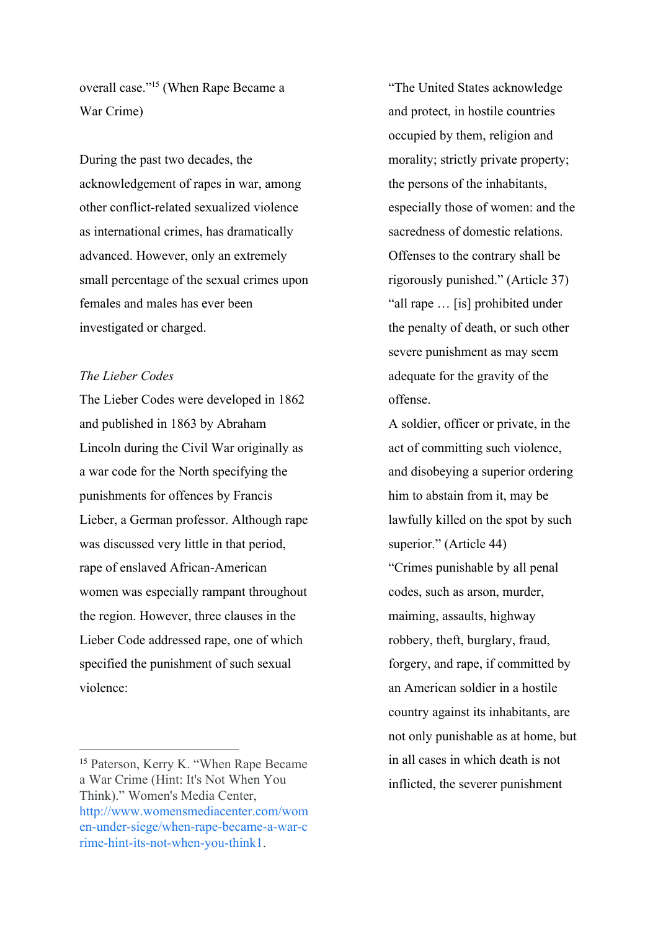overall case."<sup>15</sup> (When Rape Became a War Crime)

During the past two decades, the acknowledgement of rapes in war, among other conflict-related sexualized violence as international crimes, has dramatically advanced. However, only an extremely small percentage of the sexual crimes upon females and males has ever been investigated or charged.

## *The Lieber Codes*

The Lieber Codes were developed in 1862 and published in 1863 by Abraham Lincoln during the Civil War originally as a war code for the North specifying the punishments for offences by Francis Lieber, a German professor. Although rape was discussed very little in that period, rape of enslaved African-American women was especially rampant throughout the region. However, three clauses in the Lieber Code addressed rape, one of which specified the punishment of such sexual violence:

"The United States acknowledge and protect, in hostile countries occupied by them, religion and morality; strictly private property; the persons of the inhabitants, especially those of women: and the sacredness of domestic relations. Offenses to the contrary shall be rigorously punished." (Article 37) "all rape … [is] prohibited under the penalty of death, or such other severe punishment as may seem adequate for the gravity of the offense.

A soldier, officer or private, in the act of committing such violence, and disobeying a superior ordering him to abstain from it, may be lawfully killed on the spot by such superior." (Article 44) "Crimes punishable by all penal codes, such as arson, murder, maiming, assaults, highway robbery, theft, burglary, fraud, forgery, and rape, if committed by an American soldier in a hostile country against its inhabitants, are not only punishable as at home, but in all cases in which death is not inflicted, the severer punishment

<sup>15</sup> Paterson, Kerry K. "When Rape Became a War Crime (Hint: It's Not When You Think)." Women's Media Center, [http://www.womensmediacenter.com/wom](http://www.womensmediacenter.com/women-under-siege/when-rape-became-a-war-crime-hint-its-not-when-you-think1) [en-under-siege/when-rape-became-a-war-c](http://www.womensmediacenter.com/women-under-siege/when-rape-became-a-war-crime-hint-its-not-when-you-think1) [rime-hint-its-not-when-you-think1](http://www.womensmediacenter.com/women-under-siege/when-rape-became-a-war-crime-hint-its-not-when-you-think1).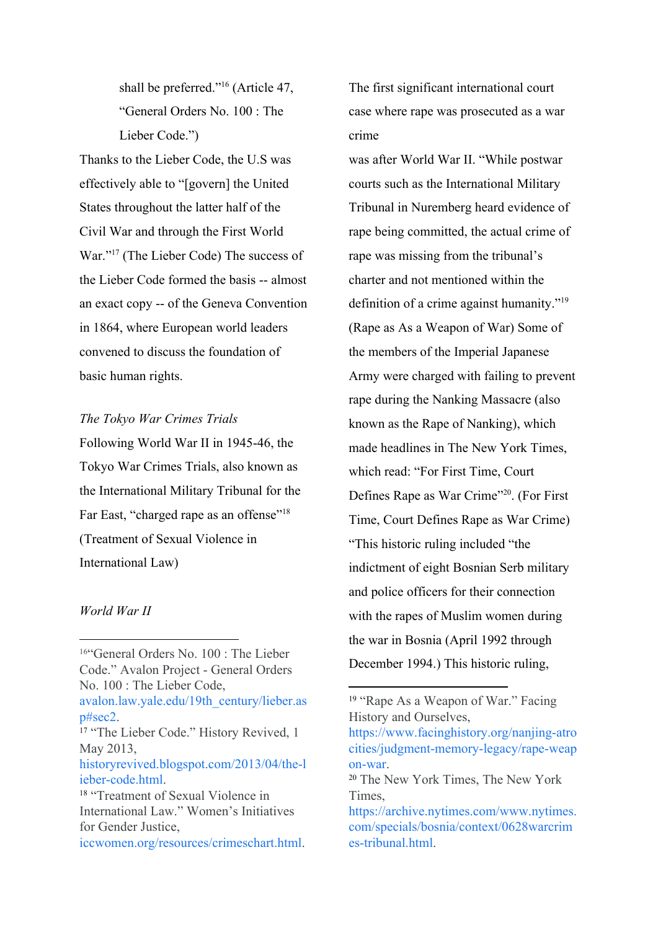shall be preferred."<sup>16</sup> (Article 47, "General Orders No. 100 : The Lieber Code.")

Thanks to the Lieber Code, the U.S was effectively able to "[govern] the United States throughout the latter half of the Civil War and through the First World War."<sup>17</sup> ([The Lieber Code\)](http://historyrevived.blogspot.com/2013/04/the-lieber-code.html) The success of the Lieber Code formed the basis -- almost an exact copy -- of the Geneva Convention in 1864, where European world leaders convened to discuss the foundation of basic human rights.

## *The Tokyo War Crimes Trials*

Following World War II in 1945-46, the Tokyo War Crimes Trials, also known as the International Military Tribunal for the Far East, "charged rape as an offense"<sup>18</sup> (Treatment of Sexual Violence in International Law)

## *World War II*

The first significant international court case where rape was prosecuted as a war crime

was after World War II. "While postwar courts such as the International Military Tribunal in Nuremberg heard evidence of rape being committed, the actual crime of rape was missing from the tribunal's charter and not mentioned within the definition of a crime against humanity."<sup>19</sup> (Rape as As a Weapon of War) Some of the members of the Imperial Japanese Army were charged with failing to prevent rape during the Nanking Massacre (also known as the Rape of Nanking), which made headlines in The New York Times, which read: "For First Time, Court Defines Rape as War Crime"<sup>20</sup>. (For First Time, Court Defines Rape as War Crime) "This historic ruling included "the indictment of eight Bosnian Serb military and police officers for their connection with the rapes of Muslim women during the war in Bosnia (April 1992 through December 1994.) This historic ruling,

<sup>16</sup>"General Orders No. 100 : The Lieber Code." Avalon Project - General Orders No. 100 : The Lieber Code,

[avalon.law.yale.edu/19th\\_century/lieber.as](http://avalon.law.yale.edu/19th_century/lieber.asp#sec2) [p#sec2](http://avalon.law.yale.edu/19th_century/lieber.asp#sec2).

<sup>&</sup>lt;sup>17</sup> "The Lieber Code." History Revived, 1 May 2013,

[historyrevived.blogspot.com/2013/04/the-l](http://historyrevived.blogspot.com/2013/04/the-lieber-code.html) [ieber-code.html.](http://historyrevived.blogspot.com/2013/04/the-lieber-code.html)

<sup>18</sup> "Treatment of Sexual Violence in International Law." Women's Initiatives for Gender Justice,

[iccwomen.org/resources/crimeschart.html](http://iccwomen.org/resources/crimeschart.html).

<sup>&</sup>lt;sup>19</sup> "Rape As a Weapon of War." Facing History and Ourselves,

[https://www.facinghistory.org/nanjing-atro](https://www.facinghistory.org/nanjing-atrocities/judgment-memory-legacy/rape-weapon-war) [cities/judgment-memory-legacy/rape-weap](https://www.facinghistory.org/nanjing-atrocities/judgment-memory-legacy/rape-weapon-war) [on-war](https://www.facinghistory.org/nanjing-atrocities/judgment-memory-legacy/rape-weapon-war).

<sup>20</sup> The New York Times, The New York Times,

[https://archive.nytimes.com/www.nytimes.](https://archive.nytimes.com/www.nytimes.com/specials/bosnia/context/0628warcrimes-tribunal.html) [com/specials/bosnia/context/0628warcrim](https://archive.nytimes.com/www.nytimes.com/specials/bosnia/context/0628warcrimes-tribunal.html) [es-tribunal.html.](https://archive.nytimes.com/www.nytimes.com/specials/bosnia/context/0628warcrimes-tribunal.html)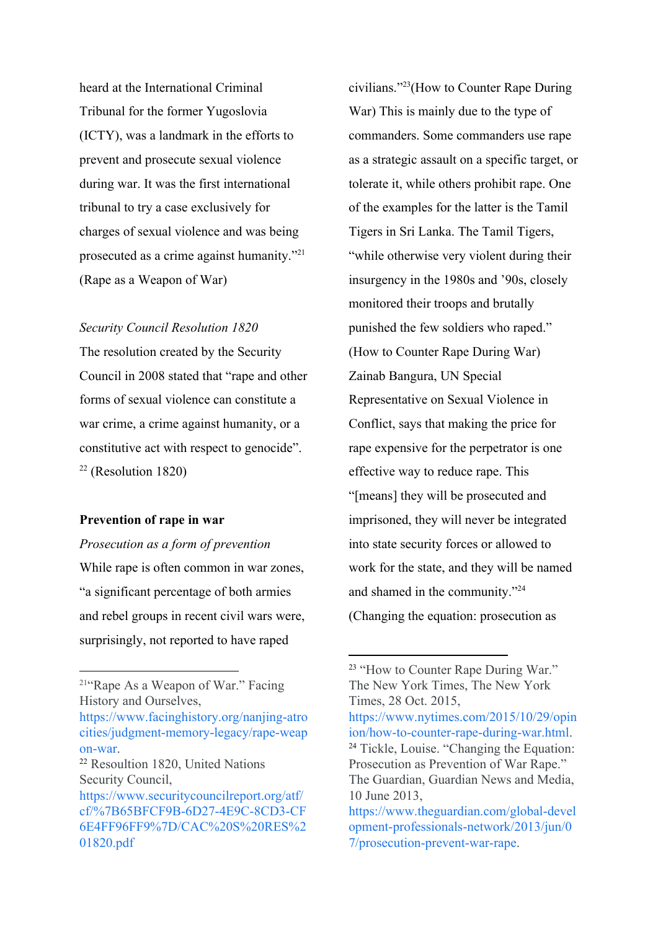heard at the International Criminal Tribunal for the former Yugoslovia (ICTY), was a landmark in the efforts to prevent and prosecute sexual violence during war. It was the first international tribunal to try a case exclusively for charges of sexual violence and was being prosecuted as a crime against humanity."<sup>21</sup> (Rape as a Weapon of War)

## *Security Council Resolution 1820*

The resolution created by the Security Council in 2008 stated that "rape and other forms of sexual violence can constitute a war crime, a crime against humanity, or a constitutive act with respect to genocide".  $22$  (Resolution 1820)

## **Prevention of rape in war**

*Prosecution as a form of prevention* While rape is often common in war zones, "a significant percentage of both armies and rebel groups in recent civil wars were, surprisingly, not reported to have raped

<sup>21</sup>"Rape As a Weapon of War." Facing History and Ourselves,

civilians."<sup>23</sup>(How to Counter Rape During War) This is mainly due to the type of commanders. Some commanders use rape as a strategic assault on a specific target, or tolerate it, while others prohibit rape. One of the examples for the latter is the Tamil Tigers in Sri Lanka. The Tamil Tigers, "while otherwise very violent during their insurgency in the 1980s and '90s, closely monitored their troops and brutally punished the few soldiers who raped." (How to Counter Rape During War) Zainab Bangura, UN Special Representative on Sexual Violence in Conflict, says that making the price for rape expensive for the perpetrator is one effective way to reduce rape. This "[means] they will be prosecuted and imprisoned, they will never be integrated into state security forces or allowed to work for the state, and they will be named and shamed in the community."<sup>24</sup> (Changing the equation: prosecution as

[https://www.facinghistory.org/nanjing-atro](https://www.facinghistory.org/nanjing-atrocities/judgment-memory-legacy/rape-weapon-war) [cities/judgment-memory-legacy/rape-weap](https://www.facinghistory.org/nanjing-atrocities/judgment-memory-legacy/rape-weapon-war) [on-war](https://www.facinghistory.org/nanjing-atrocities/judgment-memory-legacy/rape-weapon-war).

<sup>22</sup> Resoultion 1820, United Nations Security Council,

[https://www.securitycouncilreport.org/atf/](https://www.securitycouncilreport.org/atf/cf/%7B65BFCF9B-6D27-4E9C-8CD3-CF6E4FF96FF9%7D/CAC%20S%20RES%201820.pdf) [cf/%7B65BFCF9B-6D27-4E9C-8CD3-CF](https://www.securitycouncilreport.org/atf/cf/%7B65BFCF9B-6D27-4E9C-8CD3-CF6E4FF96FF9%7D/CAC%20S%20RES%201820.pdf) [6E4FF96FF9%7D/CAC%20S%20RES%2](https://www.securitycouncilreport.org/atf/cf/%7B65BFCF9B-6D27-4E9C-8CD3-CF6E4FF96FF9%7D/CAC%20S%20RES%201820.pdf) [01820.pdf](https://www.securitycouncilreport.org/atf/cf/%7B65BFCF9B-6D27-4E9C-8CD3-CF6E4FF96FF9%7D/CAC%20S%20RES%201820.pdf)

<sup>&</sup>lt;sup>23</sup> "How to Counter Rape During War." The New York Times, The New York Times, 28 Oct. 2015,

[https://www.nytimes.com/2015/10/29/opin](https://www.nytimes.com/2015/10/29/opinion/how-to-counter-rape-during-war.html) [ion/how-to-counter-rape-during-war.html.](https://www.nytimes.com/2015/10/29/opinion/how-to-counter-rape-during-war.html) <sup>24</sup> Tickle, Louise. "Changing the Equation: Prosecution as Prevention of War Rape." The Guardian, Guardian News and Media, 10 June 2013,

[https://www.theguardian.com/global-devel](https://www.theguardian.com/global-development-professionals-network/2013/jun/07/prosecution-prevent-war-rape) [opment-professionals-network/2013/jun/0](https://www.theguardian.com/global-development-professionals-network/2013/jun/07/prosecution-prevent-war-rape) [7/prosecution-prevent-war-rape](https://www.theguardian.com/global-development-professionals-network/2013/jun/07/prosecution-prevent-war-rape).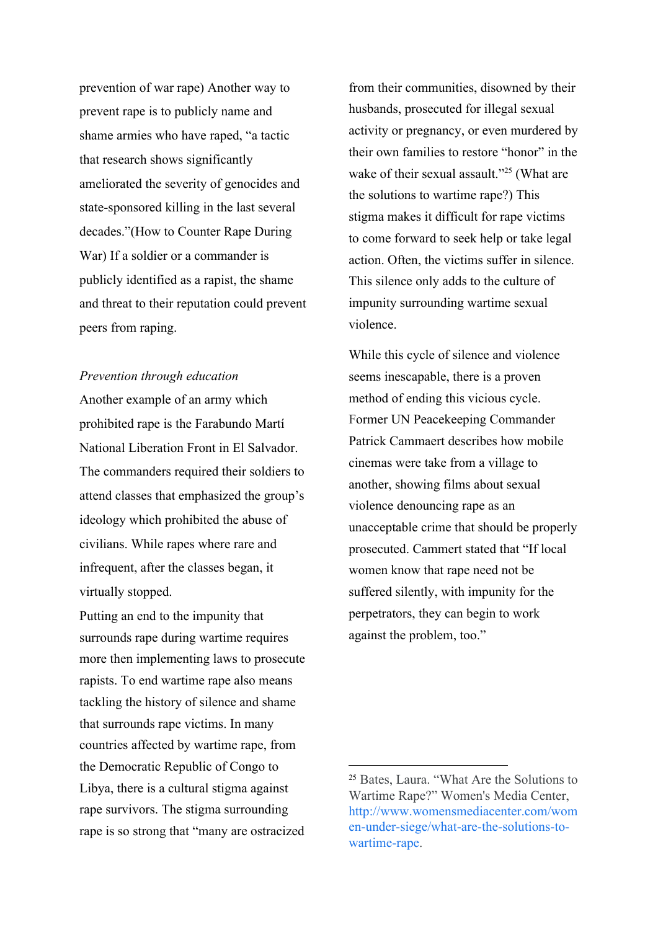prevention of war rape) Another way to prevent rape is to publicly name and shame armies who have raped, "a tactic that research shows significantly ameliorated the severity of genocides and state-sponsored killing in the last several decades."(How to Counter Rape During War) If a soldier or a commander is publicly identified as a rapist, the shame and threat to their reputation could prevent peers from raping.

## *Prevention through education*

Another example of an army which prohibited rape is the Farabundo Martí National Liberation Front in El Salvador. The commanders required their soldiers to attend classes that emphasized the group's ideology which prohibited the abuse of civilians. While rapes where rare and infrequent, after the classes began, it virtually stopped.

Putting an end to the impunity that surrounds rape during wartime requires more then implementing laws to prosecute rapists. To end wartime rape also means tackling the history of silence and shame that surrounds rape victims. In many countries affected by wartime rape, from the Democratic Republic of Congo to Libya, there is a cultural stigma against rape survivors. The stigma surrounding rape is so strong that "many are ostracized from their communities, disowned by their husbands, prosecuted for illegal sexual activity or pregnancy, or even murdered by their own families to restore "honor" in the wake of their sexual assault."<sup>25</sup> (What are the solutions to wartime rape?) This stigma makes it difficult for rape victims to come forward to seek help or take legal action. Often, the victims suffer in silence. This silence only adds to the culture of impunity surrounding wartime sexual violence.

While this cycle of silence and violence seems inescapable, there is a proven method of ending this vicious cycle. Former UN Peacekeeping Commander Patrick Cammaert describes how mobile cinemas were take from a village to another, showing films about sexual violence denouncing rape as an unacceptable crime that should be properly prosecuted. Cammert stated that "If local women know that rape need not be suffered silently, with impunity for the perpetrators, they can begin to work against the problem, too."

<sup>25</sup> Bates, Laura. "What Are the Solutions to Wartime Rape?" Women's Media Center, [http://www.womensmediacenter.com/wom](http://www.womensmediacenter.com/women-under-siege/what-are-the-solutions-to-wartime-rape) [en-under-siege/what-are-the-solutions-to](http://www.womensmediacenter.com/women-under-siege/what-are-the-solutions-to-wartime-rape)[wartime-rape](http://www.womensmediacenter.com/women-under-siege/what-are-the-solutions-to-wartime-rape).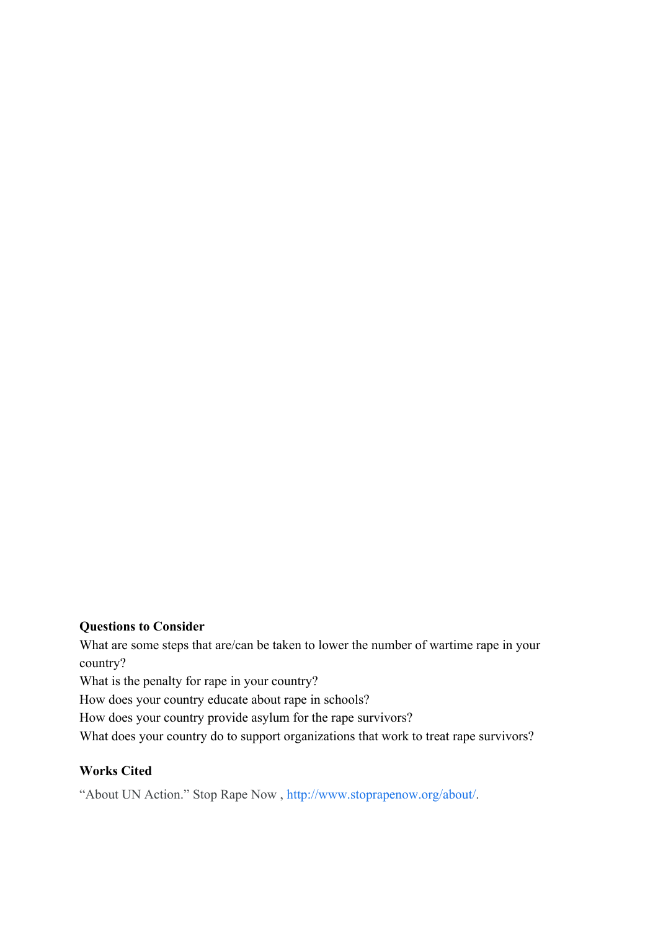## **Questions to Consider**

What are some steps that are/can be taken to lower the number of wartime rape in your country? What is the penalty for rape in your country? How does your country educate about rape in schools? How does your country provide asylum for the rape survivors? What does your country do to support organizations that work to treat rape survivors?

## **Works Cited**

"About UN Action." Stop Rape Now , [http://www.stoprapenow.org/about/.](http://www.stoprapenow.org/about/)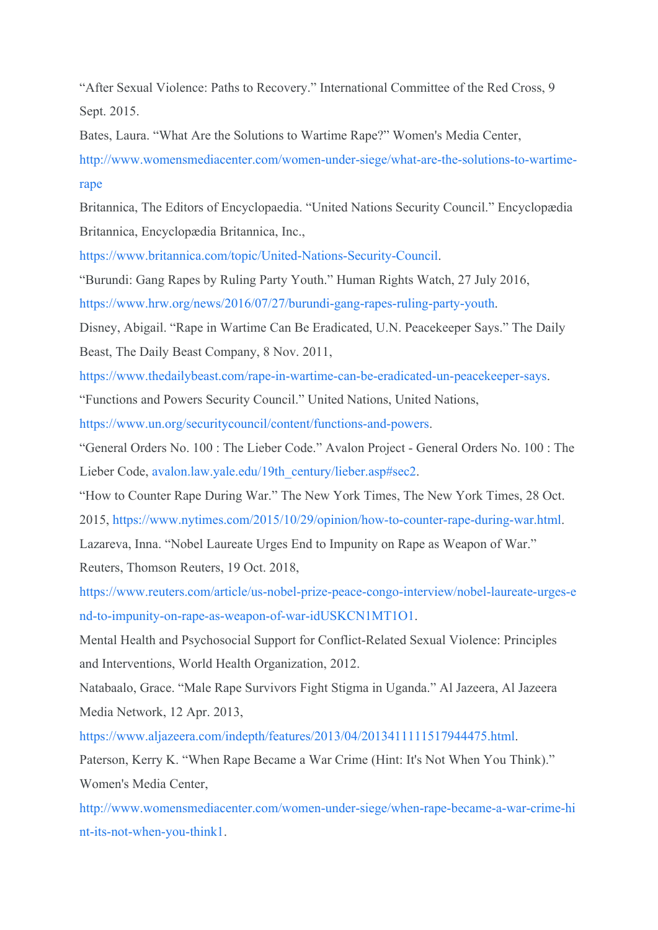"After Sexual Violence: Paths to Recovery." International Committee of the Red Cross, 9 Sept. 2015.

Bates, Laura. "What Are the Solutions to Wartime Rape?" Women's Media Center,

[http://www.womensmediacenter.com/women-under-siege/what-are-the-solutions-to-wartime](http://www.womensmediacenter.com/women-under-siege/what-are-the-solutions-to-wartime-rape)[rape](http://www.womensmediacenter.com/women-under-siege/what-are-the-solutions-to-wartime-rape)

Britannica, The Editors of Encyclopaedia. "United Nations Security Council." Encyclopædia Britannica, Encyclopædia Britannica, Inc.,

[https://www.britannica.com/topic/United-Nations-Security-Council.](https://www.britannica.com/topic/United-Nations-Security-Council)

"Burundi: Gang Rapes by Ruling Party Youth." Human Rights Watch, 27 July 2016,

<https://www.hrw.org/news/2016/07/27/burundi-gang-rapes-ruling-party-youth>.

Disney, Abigail. "Rape in Wartime Can Be Eradicated, U.N. Peacekeeper Says." The Daily Beast, The Daily Beast Company, 8 Nov. 2011,

<https://www.thedailybeast.com/rape-in-wartime-can-be-eradicated-un-peacekeeper-says>.

"Functions and Powers Security Council." United Nations, United Nations,

[https://www.un.org/securitycouncil/content/functions-and-powers.](https://www.un.org/securitycouncil/content/functions-and-powers)

"General Orders No. 100 : The Lieber Code." Avalon Project - General Orders No. 100 : The Lieber Code, [avalon.law.yale.edu/19th\\_century/lieber.asp#sec2.](http://avalon.law.yale.edu/19th_century/lieber.asp#sec2)

"How to Counter Rape During War." The New York Times, The New York Times, 28 Oct.

2015, [https://www.nytimes.com/2015/10/29/opinion/how-to-counter-rape-during-war.html.](https://www.nytimes.com/2015/10/29/opinion/how-to-counter-rape-during-war.html)

Lazareva, Inna. "Nobel Laureate Urges End to Impunity on Rape as Weapon of War."

Reuters, Thomson Reuters, 19 Oct. 2018,

[https://www.reuters.com/article/us-nobel-prize-peace-congo-interview/nobel-laureate-urges-e](https://www.reuters.com/article/us-nobel-prize-peace-congo-interview/nobel-laureate-urges-end-to-impunity-on-rape-as-weapon-of-war-idUSKCN1MT1O1) [nd-to-impunity-on-rape-as-weapon-of-war-idUSKCN1MT1O1](https://www.reuters.com/article/us-nobel-prize-peace-congo-interview/nobel-laureate-urges-end-to-impunity-on-rape-as-weapon-of-war-idUSKCN1MT1O1).

Mental Health and Psychosocial Support for Conflict-Related Sexual Violence: Principles and Interventions, World Health Organization, 2012.

Natabaalo, Grace. "Male Rape Survivors Fight Stigma in Uganda." Al Jazeera, Al Jazeera Media Network, 12 Apr. 2013,

[https://www.aljazeera.com/indepth/features/2013/04/2013411111517944475.html.](https://www.aljazeera.com/indepth/features/2013/04/2013411111517944475.html)

Paterson, Kerry K. "When Rape Became a War Crime (Hint: It's Not When You Think)." Women's Media Center,

[http://www.womensmediacenter.com/women-under-siege/when-rape-became-a-war-crime-hi](http://www.womensmediacenter.com/women-under-siege/when-rape-became-a-war-crime-hint-its-not-when-you-think1) [nt-its-not-when-you-think1.](http://www.womensmediacenter.com/women-under-siege/when-rape-became-a-war-crime-hint-its-not-when-you-think1)